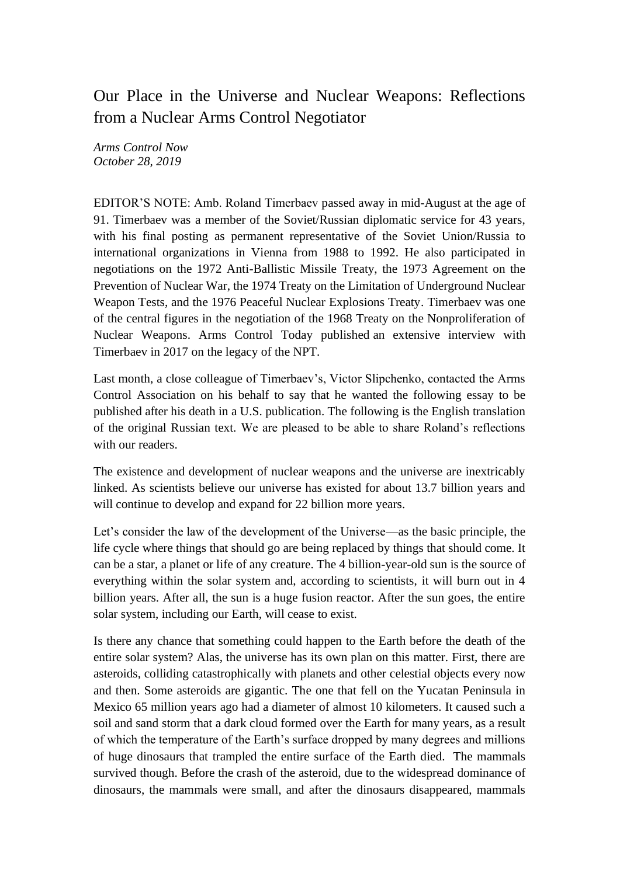## Our Place in the Universe and Nuclear Weapons: Reflections from a Nuclear Arms Control Negotiator

*Arms Control Now October 28, 2019*

EDITOR'S NOTE: Amb. Roland Timerbaev passed away in mid-August at the age of 91. Timerbaev was a member of the Soviet/Russian diplomatic service for 43 years, with his final posting as permanent representative of the Soviet Union/Russia to international organizations in Vienna from 1988 to 1992. He also participated in negotiations on the 1972 Anti-Ballistic Missile Treaty, the 1973 Agreement on the Prevention of Nuclear War, the 1974 Treaty on the Limitation of Underground Nuclear Weapon Tests, and the 1976 Peaceful Nuclear Explosions Treaty. Timerbaev was one of the central figures in the negotiation of the 1968 Treaty on the Nonproliferation of Nuclear Weapons. Arms Control Today published an extensive interview with Timerbaev in 2017 on the legacy of the NPT.

Last month, a close colleague of Timerbaev's, Victor Slipchenko, contacted the Arms Control Association on his behalf to say that he wanted the following essay to be published after his death in a U.S. publication. The following is the English translation of the original Russian text. We are pleased to be able to share Roland's reflections with our readers.

The existence and development of nuclear weapons and the universe are inextricably linked. As scientists believe our universe has existed for about 13.7 billion years and will continue to develop and expand for 22 billion more years.

Let's consider the law of the development of the Universe—as the basic principle, the life cycle where things that should go are being replaced by things that should come. It can be a star, a planet or life of any creature. The 4 billion-year-old sun is the source of everything within the solar system and, according to scientists, it will burn out in 4 billion years. After all, the sun is a huge fusion reactor. After the sun goes, the entire solar system, including our Earth, will cease to exist.

Is there any chance that something could happen to the Earth before the death of the entire solar system? Alas, the universe has its own plan on this matter. First, there are asteroids, colliding catastrophically with planets and other celestial objects every now and then. Some asteroids are gigantic. The one that fell on the Yucatan Peninsula in Mexico 65 million years ago had a diameter of almost 10 kilometers. It caused such a soil and sand storm that a dark cloud formed over the Earth for many years, as a result of which the temperature of the Earth's surface dropped by many degrees and millions of huge dinosaurs that trampled the entire surface of the Earth died. The mammals survived though. Before the crash of the asteroid, due to the widespread dominance of dinosaurs, the mammals were small, and after the dinosaurs disappeared, mammals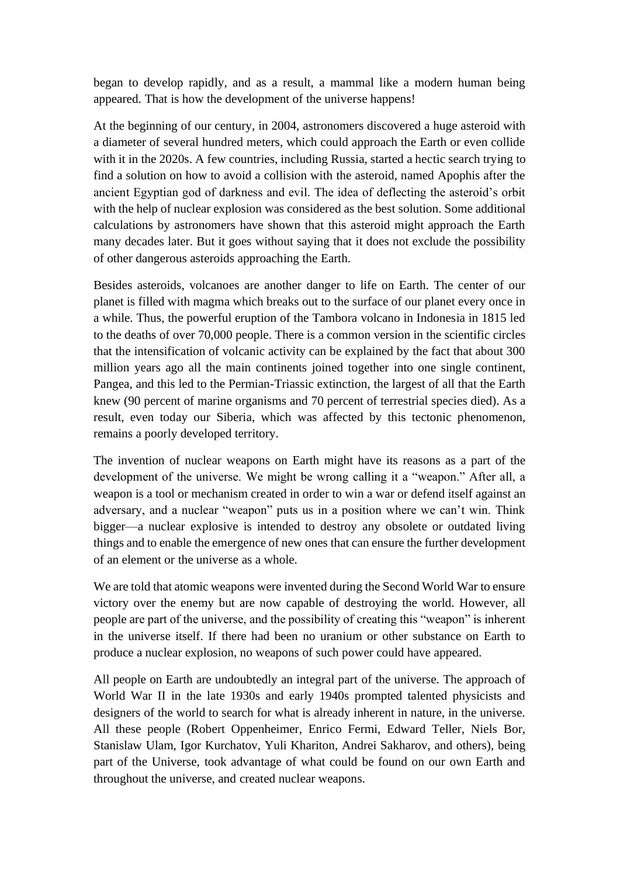began to develop rapidly, and as a result, a mammal like a modern human being appeared. That is how the development of the universe happens!

At the beginning of our century, in 2004, astronomers discovered a huge asteroid with a diameter of several hundred meters, which could approach the Earth or even collide with it in the 2020s. A few countries, including Russia, started a hectic search trying to find a solution on how to avoid a collision with the asteroid, named Apophis after the ancient Egyptian god of darkness and evil. The idea of deflecting the asteroid's orbit with the help of nuclear explosion was considered as the best solution. Some additional calculations by astronomers have shown that this asteroid might approach the Earth many decades later. But it goes without saying that it does not exclude the possibility of other dangerous asteroids approaching the Earth.

Besides asteroids, volcanoes are another danger to life on Earth. The center of our planet is filled with magma which breaks out to the surface of our planet every once in a while. Thus, the powerful eruption of the Tambora volcano in Indonesia in 1815 led to the deaths of over 70,000 people. There is a common version in the scientific circles that the intensification of volcanic activity can be explained by the fact that about 300 million years ago all the main continents joined together into one single continent, Pangea, and this led to the Permian-Triassic extinction, the largest of all that the Earth knew (90 percent of marine organisms and 70 percent of terrestrial species died). As a result, even today our Siberia, which was affected by this tectonic phenomenon, remains a poorly developed territory.

The invention of nuclear weapons on Earth might have its reasons as a part of the development of the universe. We might be wrong calling it a "weapon." After all, a weapon is a tool or mechanism created in order to win a war or defend itself against an adversary, and a nuclear "weapon" puts us in a position where we can't win. Think bigger—a nuclear explosive is intended to destroy any obsolete or outdated living things and to enable the emergence of new ones that can ensure the further development of an element or the universe as a whole.

We are told that atomic weapons were invented during the Second World War to ensure victory over the enemy but are now capable of destroying the world. However, all people are part of the universe, and the possibility of creating this "weapon" is inherent in the universe itself. If there had been no uranium or other substance on Earth to produce a nuclear explosion, no weapons of such power could have appeared.

All people on Earth are undoubtedly an integral part of the universe. The approach of World War II in the late 1930s and early 1940s prompted talented physicists and designers of the world to search for what is already inherent in nature, in the universe. All these people (Robert Oppenheimer, Enrico Fermi, Edward Teller, Niels Bor, Stanislaw Ulam, Igor Kurchatov, Yuli Khariton, Andrei Sakharov, and others), being part of the Universe, took advantage of what could be found on our own Earth and throughout the universe, and created nuclear weapons.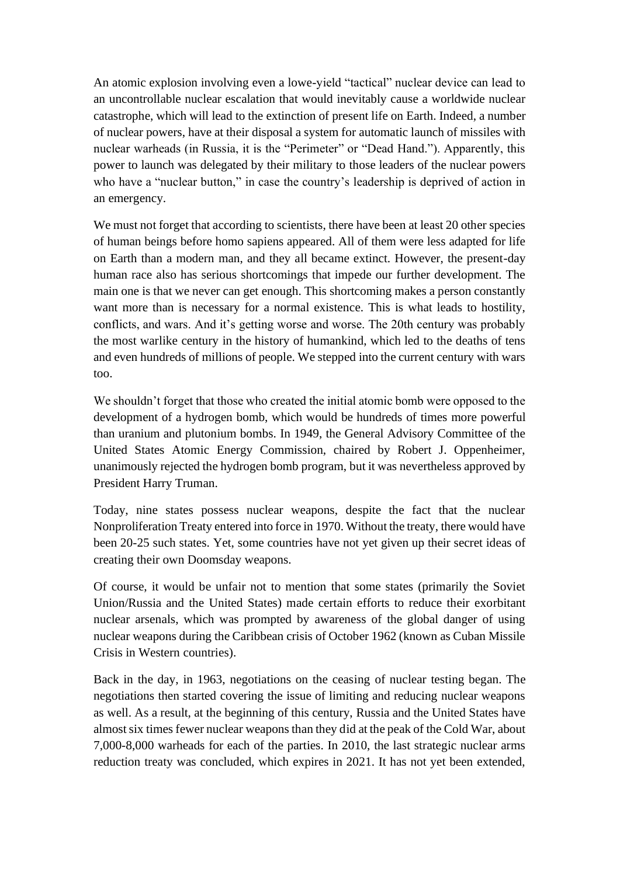An atomic explosion involving even a lowe-yield "tactical" nuclear device can lead to an uncontrollable nuclear escalation that would inevitably cause a worldwide nuclear catastrophe, which will lead to the extinction of present life on Earth. Indeed, a number of nuclear powers, have at their disposal a system for automatic launch of missiles with nuclear warheads (in Russia, it is the "Perimeter" or "Dead Hand."). Apparently, this power to launch was delegated by their military to those leaders of the nuclear powers who have a "nuclear button," in case the country's leadership is deprived of action in an emergency.

We must not forget that according to scientists, there have been at least 20 other species of human beings before homo sapiens appeared. All of them were less adapted for life on Earth than a modern man, and they all became extinct. However, the present-day human race also has serious shortcomings that impede our further development. The main one is that we never can get enough. This shortcoming makes a person constantly want more than is necessary for a normal existence. This is what leads to hostility, conflicts, and wars. And it's getting worse and worse. The 20th century was probably the most warlike century in the history of humankind, which led to the deaths of tens and even hundreds of millions of people. We stepped into the current century with wars too.

We shouldn't forget that those who created the initial atomic bomb were opposed to the development of a hydrogen bomb, which would be hundreds of times more powerful than uranium and plutonium bombs. In 1949, the General Advisory Committee of the United States Atomic Energy Commission, chaired by Robert J. Oppenheimer, unanimously rejected the hydrogen bomb program, but it was nevertheless approved by President Harry Truman.

Today, nine states possess nuclear weapons, despite the fact that the nuclear Nonproliferation Treaty entered into force in 1970. Without the treaty, there would have been 20-25 such states. Yet, some countries have not yet given up their secret ideas of creating their own Doomsday weapons.

Of course, it would be unfair not to mention that some states (primarily the Soviet Union/Russia and the United States) made certain efforts to reduce their exorbitant nuclear arsenals, which was prompted by awareness of the global danger of using nuclear weapons during the Caribbean crisis of October 1962 (known as Cuban Missile Crisis in Western countries).

Back in the day, in 1963, negotiations on the ceasing of nuclear testing began. The negotiations then started covering the issue of limiting and reducing nuclear weapons as well. As a result, at the beginning of this century, Russia and the United States have almost six times fewer nuclear weapons than they did at the peak of the Cold War, about 7,000-8,000 warheads for each of the parties. In 2010, the last strategic nuclear arms reduction treaty was concluded, which expires in 2021. It has not yet been extended,